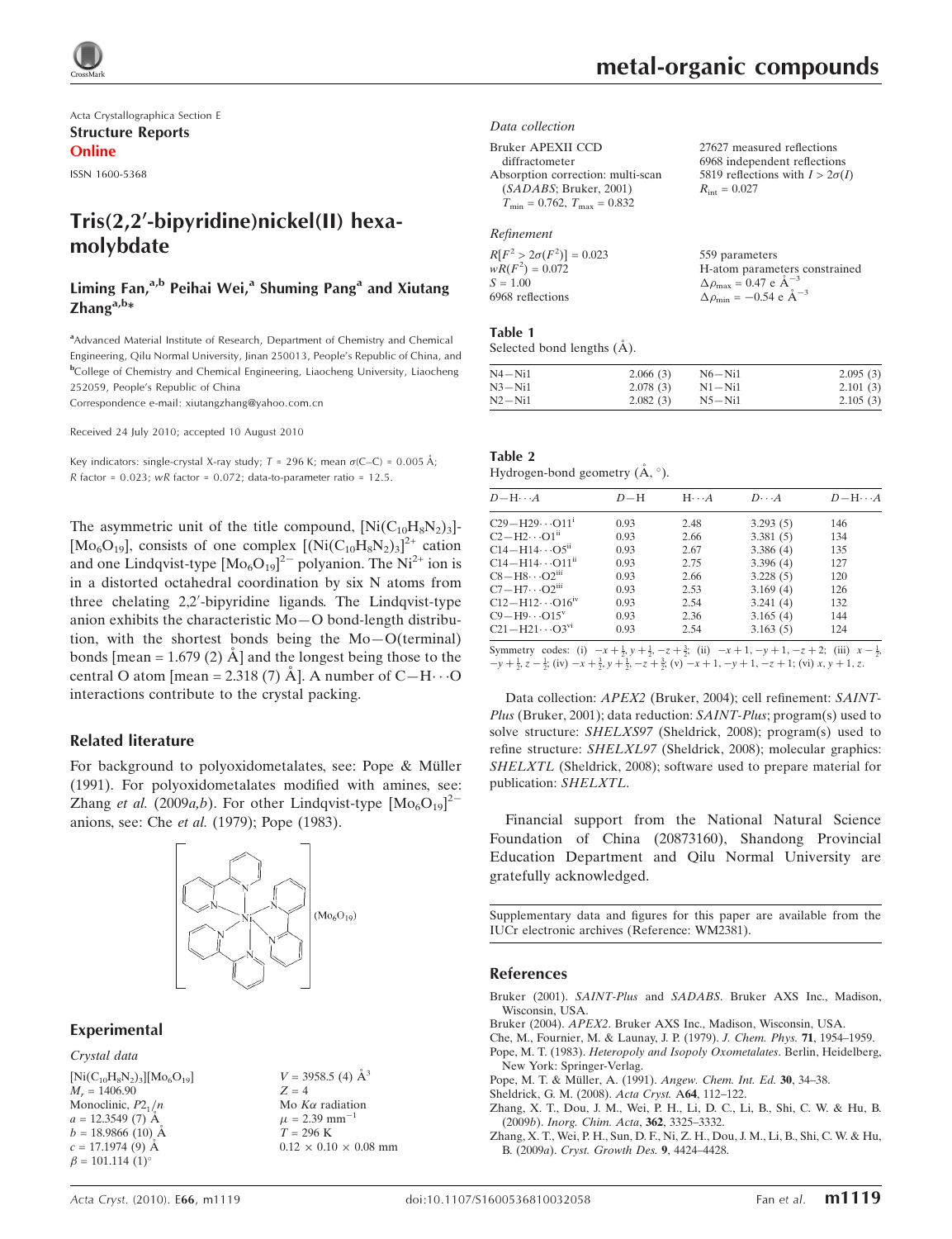

Acta Crystallographica Section E Structure Reports Online

ISSN 1600-5368

# Tris(2,2'-bipyridine)nickel(II) hexamolybdate

## Liming Fan, $a,b$  Peihai Wei, $a$  Shuming Pang $a$  and Xiutang  $\mathsf{Z}$ hang $a,b*$

<sup>a</sup> Advanced Material Institute of Research, Department of Chemistry and Chemical Engineering, Qilu Normal University, Jinan 250013, People's Republic of China, and b College of Chemistry and Chemical Engineering, Liaocheng University, Liaocheng 252059, People's Republic of China

Correspondence e-mail: xiutangzhang@yahoo.com.cn

Received 24 July 2010; accepted 10 August 2010

Key indicators: single-crystal X-ray study;  $T = 296$  K; mean  $\sigma$ (C–C) = 0.005 Å;  $R$  factor = 0.023; w $R$  factor = 0.072; data-to-parameter ratio = 12.5.

The asymmetric unit of the title compound,  $[Ni(C_{10}H_8N_2)_3]$ -[Mo<sub>6</sub>O<sub>19</sub>], consists of one complex  $[(Ni(C_{10}H_8N_2)_3]^2$ <sup>+</sup> cation and one Lindqvist-type  $[Mo_6O_{19}]^{2-}$  polyanion. The Ni<sup>2+</sup> ion is in a distorted octahedral coordination by six N atoms from three chelating 2,2'-bipyridine ligands. The Lindqvist-type anion exhibits the characteristic Mo—O bond-length distribution, with the shortest bonds being the Mo—O(terminal) bonds [mean = 1.679 (2)  $\AA$ ] and the longest being those to the central O atom [mean = 2.318 (7)  $\AA$ ]. A number of C-H $\cdots$ O interactions contribute to the crystal packing.

### Related literature

For background to polyoxidometalates, see: Pope & Müller (1991). For polyoxidometalates modified with amines, see: Zhang et al. (2009a,b). For other Lindqvist-type  $[Mo_6O_{19}]^2$ anions, see: Che et al. (1979); Pope (1983).



#### Experimental

Crystal data  $[Ni(C_{10}H_8N_2)_3][Mo_6O_{19}]$  $M_r = 1406.90$ Monoclinic,  $P2_1/n$  $a = 12.3549(7)$  Å  $b = 18.9866(10)$  Å  $c = 17.1974(9)$  Å  $\beta = 101.114$  (1)<sup>o</sup>

 $V = 3958.5$  (4)  $\AA^3$  $Z = 4$ Mo  $K\alpha$  radiation  $\mu$  = 2.39 mm<sup>-</sup> 1  $T = 296 \text{ K}$  $0.12 \times 0.10 \times 0.08$  mm  $R_{\text{int}} = 0.027$ 

27627 measured reflections 6968 independent reflections 5819 reflections with  $I > 2\sigma(I)$ 

#### Data collection

Bruker APEXII CCD

```
diffractometer
Absorption correction: multi-scan
  (SADABS; Bruker, 2001)
  T_{\text{min}} = 0.762, T_{\text{max}} = 0.832
```
#### Refinement

| $R[F^2 > 2\sigma(F^2)] = 0.023$ | 559 parameters                                     |
|---------------------------------|----------------------------------------------------|
| $wR(F^2) = 0.072$               | H-atom parameters constrained                      |
| $S = 1.00$                      | $\Delta \rho_{\text{max}} = 0.47 \text{ e A}^{-3}$ |
| 6968 reflections                | $\Delta \rho_{\text{min}} = -0.54$ e $\AA^{-3}$    |

#### Table 1

Selected bond lengths  $(\AA)$ .

| N4—Ni1 | 2.066(3) | $N6 - N11$  | 2.095(3) |
|--------|----------|-------------|----------|
| N3—Ni1 | 2.078(3) | $N1 - N_11$ | 2.101(3) |
| N2-Ni1 | 2.082(3) | $N5 - Ni1$  | 2.105(3) |

| Table 2                                   |  |  |
|-------------------------------------------|--|--|
| Hydrogen-bond geometry $(\AA, \degree)$ . |  |  |

| $D - H \cdots A$                     | $D-H$ | $H \cdots A$ | $D\cdots A$ | $D - H \cdots A$ |
|--------------------------------------|-------|--------------|-------------|------------------|
| $C29 - H29 \cdots O11$ <sup>1</sup>  | 0.93  | 2.48         | 3.293(5)    | 146              |
| $C2-H2\cdots O1n$                    | 0.93  | 2.66         | 3.381(5)    | 134              |
| $C14 - H14 \cdots O5^{n}$            | 0.93  | 2.67         | 3.386(4)    | 135              |
| $C14 - H14 \cdots O11$ <sup>11</sup> | 0.93  | 2.75         | 3.396(4)    | 127              |
| $C8 - H8 \cdots O2$ <sup>iii</sup>   | 0.93  | 2.66         | 3.228(5)    | 120              |
| $C7 - H7 \cdots O2$ <sup>iii</sup>   | 0.93  | 2.53         | 3.169(4)    | 126              |
| $C12 - H12 \cdots O16^{IV}$          | 0.93  | 2.54         | 3.241(4)    | 132              |
| $C9 - H9 \cdots O15^V$               | 0.93  | 2.36         | 3.165(4)    | 144              |
| $C21 - H21 \cdots O3^{v1}$           | 0.93  | 2.54         | 3.163(5)    | 124              |

Symmetry codes: (i)  $-x + \frac{1}{2}$ ,  $y + \frac{1}{2}$ ,  $-z + \frac{3}{2}$ ; (ii)  $-x + 1$ ,  $-y + 1$ ,  $-z + 2$ ; (iii)  $x - \frac{1}{2}$ ,  $-y+\frac{1}{2}$ ,  $z-\frac{1}{2}$ ; (iv)  $-x+\frac{3}{2}$ ,  $y+\frac{1}{2}$ ,  $-z+\frac{3}{2}$ ; (v)  $-x+1$ ,  $-y+1$ ,  $-z+1$ ; (vi)  $x, y+1, z$ .

Data collection: APEX2 (Bruker, 2004); cell refinement: SAINT-Plus (Bruker, 2001); data reduction: SAINT-Plus; program(s) used to solve structure: SHELXS97 (Sheldrick, 2008); program(s) used to refine structure: SHELXL97 (Sheldrick, 2008); molecular graphics: SHELXTL (Sheldrick, 2008); software used to prepare material for publication: SHELXTL.

Financial support from the National Natural Science Foundation of China (20873160), Shandong Provincial Education Department and Qilu Normal University are gratefully acknowledged.

Supplementary data and figures for this paper are available from the IUCr electronic archives (Reference: WM2381).

#### References

- Bruker (2001). SAINT-Plus and SADABS[. Bruker AXS Inc., Madison,](https://scripts.iucr.org/cgi-bin/cr.cgi?rm=pdfbb&cnor=wm2381&bbid=BB1) [Wisconsin, USA.](https://scripts.iucr.org/cgi-bin/cr.cgi?rm=pdfbb&cnor=wm2381&bbid=BB1)
- Bruker (2004). APEX2[. Bruker AXS Inc., Madison, Wisconsin, USA.](https://scripts.iucr.org/cgi-bin/cr.cgi?rm=pdfbb&cnor=wm2381&bbid=BB2)
- [Che, M., Fournier, M. & Launay, J. P. \(1979\).](https://scripts.iucr.org/cgi-bin/cr.cgi?rm=pdfbb&cnor=wm2381&bbid=BB3) J. Chem. Phys. 71, 1954–1959. Pope, M. T. (1983). [Heteropoly and Isopoly Oxometalates](https://scripts.iucr.org/cgi-bin/cr.cgi?rm=pdfbb&cnor=wm2381&bbid=BB4). Berlin, Heidelberg, [New York: Springer-Verlag.](https://scripts.iucr.org/cgi-bin/cr.cgi?rm=pdfbb&cnor=wm2381&bbid=BB4)
- Pope, M. T. & Müller, A. (1991). Angew. Chem. Int. Ed. 30, 34-38.
- [Sheldrick, G. M. \(2008\).](https://scripts.iucr.org/cgi-bin/cr.cgi?rm=pdfbb&cnor=wm2381&bbid=BB6) Acta Cryst. A64, 112–122.
- 
- [Zhang, X. T., Dou, J. M., Wei, P. H., Li, D. C., Li, B., Shi, C. W. & Hu, B.](https://scripts.iucr.org/cgi-bin/cr.cgi?rm=pdfbb&cnor=wm2381&bbid=BB7) (2009b). [Inorg. Chim. Acta](https://scripts.iucr.org/cgi-bin/cr.cgi?rm=pdfbb&cnor=wm2381&bbid=BB7), 362, 3325–3332.
- [Zhang, X. T., Wei, P. H., Sun, D. F., Ni, Z. H., Dou, J. M., Li, B., Shi, C. W. & Hu,](https://scripts.iucr.org/cgi-bin/cr.cgi?rm=pdfbb&cnor=wm2381&bbid=BB8) B. (2009a). [Cryst. Growth Des.](https://scripts.iucr.org/cgi-bin/cr.cgi?rm=pdfbb&cnor=wm2381&bbid=BB8) 9, 4424–4428.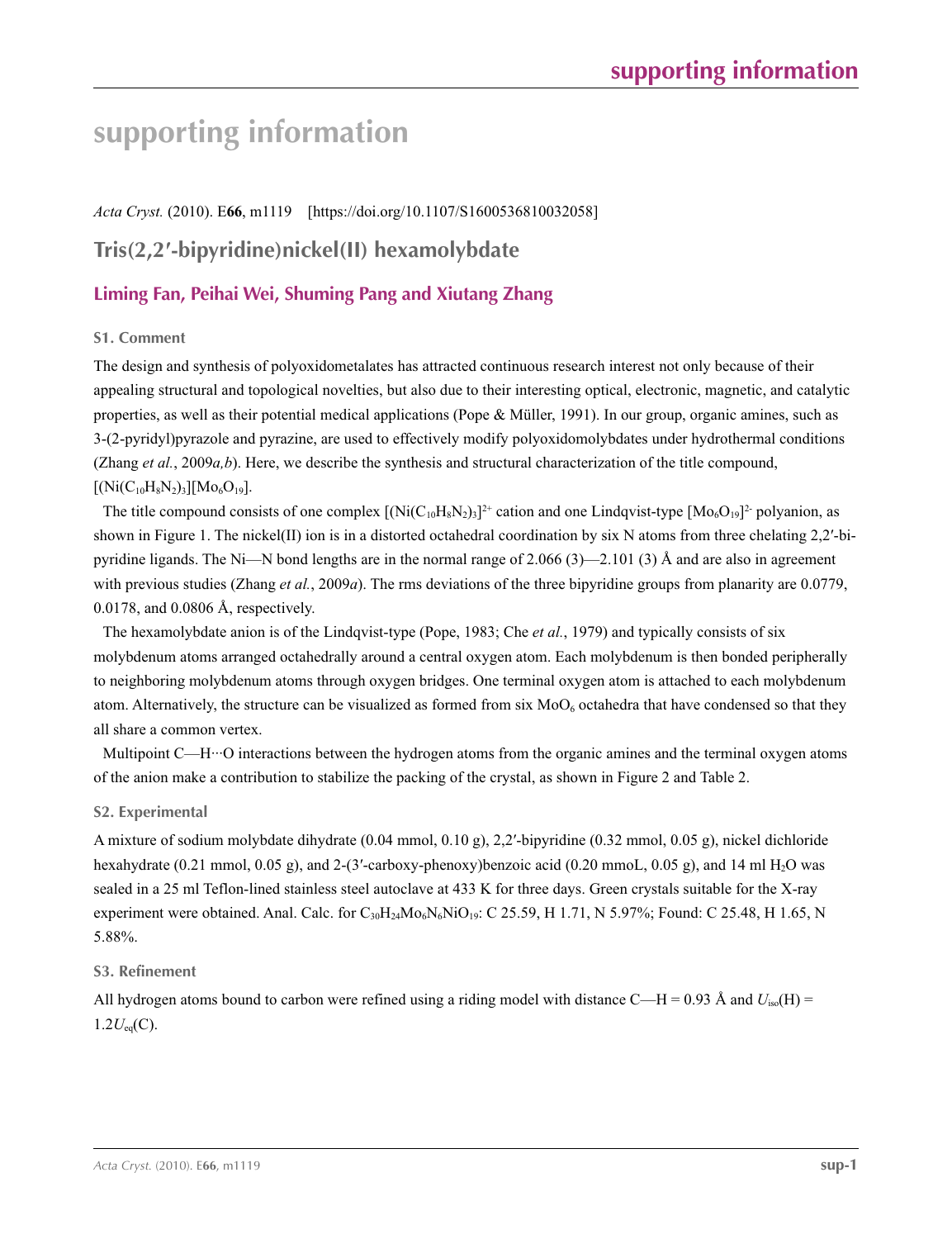# **supporting information**

*Acta Cryst.* (2010). E**66**, m1119 [https://doi.org/10.1107/S1600536810032058]

# **Tris(2,2′-bipyridine)nickel(II) hexamolybdate**

# **Liming Fan, Peihai Wei, Shuming Pang and Xiutang Zhang**

# **S1. Comment**

The design and synthesis of polyoxidometalates has attracted continuous research interest not only because of their appealing structural and topological novelties, but also due to their interesting optical, electronic, magnetic, and catalytic properties, as well as their potential medical applications (Pope & Müller, 1991). In our group, organic amines, such as 3-(2-pyridyl)pyrazole and pyrazine, are used to effectively modify polyoxidomolybdates under hydrothermal conditions (Zhang *et al.*, 2009*a,b*). Here, we describe the synthesis and structural characterization of the title compound,  $[(Ni(C_{10}H_8N_2)_3][Mo_6O_{19}].$ 

The title compound consists of one complex  $[(Ni(C_{10}H_8N_2)_3]^2]$ <sup>+</sup> cation and one Lindqvist-type  $[M_0_6O_{19}]^2$ <sup>-</sup> polyanion, as shown in Figure 1. The nickel(II) ion is in a distorted octahedral coordination by six N atoms from three chelating 2,2'-bipyridine ligands. The Ni—N bond lengths are in the normal range of 2.066 (3)—2.101 (3) Å and are also in agreement with previous studies (Zhang *et al.*, 2009*a*). The rms deviations of the three bipyridine groups from planarity are 0.0779, 0.0178, and 0.0806 Å, respectively.

The hexamolybdate anion is of the Lindqvist-type (Pope, 1983; Che *et al.*, 1979) and typically consists of six molybdenum atoms arranged octahedrally around a central oxygen atom. Each molybdenum is then bonded peripherally to neighboring molybdenum atoms through oxygen bridges. One terminal oxygen atom is attached to each molybdenum atom. Alternatively, the structure can be visualized as formed from six  $Mo<sub>6</sub>$  octahedra that have condensed so that they all share a common vertex.

Multipoint C—H···O interactions between the hydrogen atoms from the organic amines and the terminal oxygen atoms of the anion make a contribution to stabilize the packing of the crystal, as shown in Figure 2 and Table 2.

# **S2. Experimental**

A mixture of sodium molybdate dihydrate (0.04 mmol, 0.10 g), 2,2′-bipyridine (0.32 mmol, 0.05 g), nickel dichloride hexahydrate (0.21 mmol, 0.05 g), and 2-(3'-carboxy-phenoxy)benzoic acid (0.20 mmoL, 0.05 g), and 14 ml H<sub>2</sub>O was sealed in a 25 ml Teflon-lined stainless steel autoclave at 433 K for three days. Green crystals suitable for the X-ray experiment were obtained. Anal. Calc. for  $C_{30}H_{24}Mo_6N_6NiO_{19}$ : C 25.59, H 1.71, N 5.97%; Found: C 25.48, H 1.65, N 5.88%.

# **S3. Refinement**

All hydrogen atoms bound to carbon were refined using a riding model with distance C—H = 0.93 Å and  $U_{iso}(H)$  = 1.2*U*eq(C).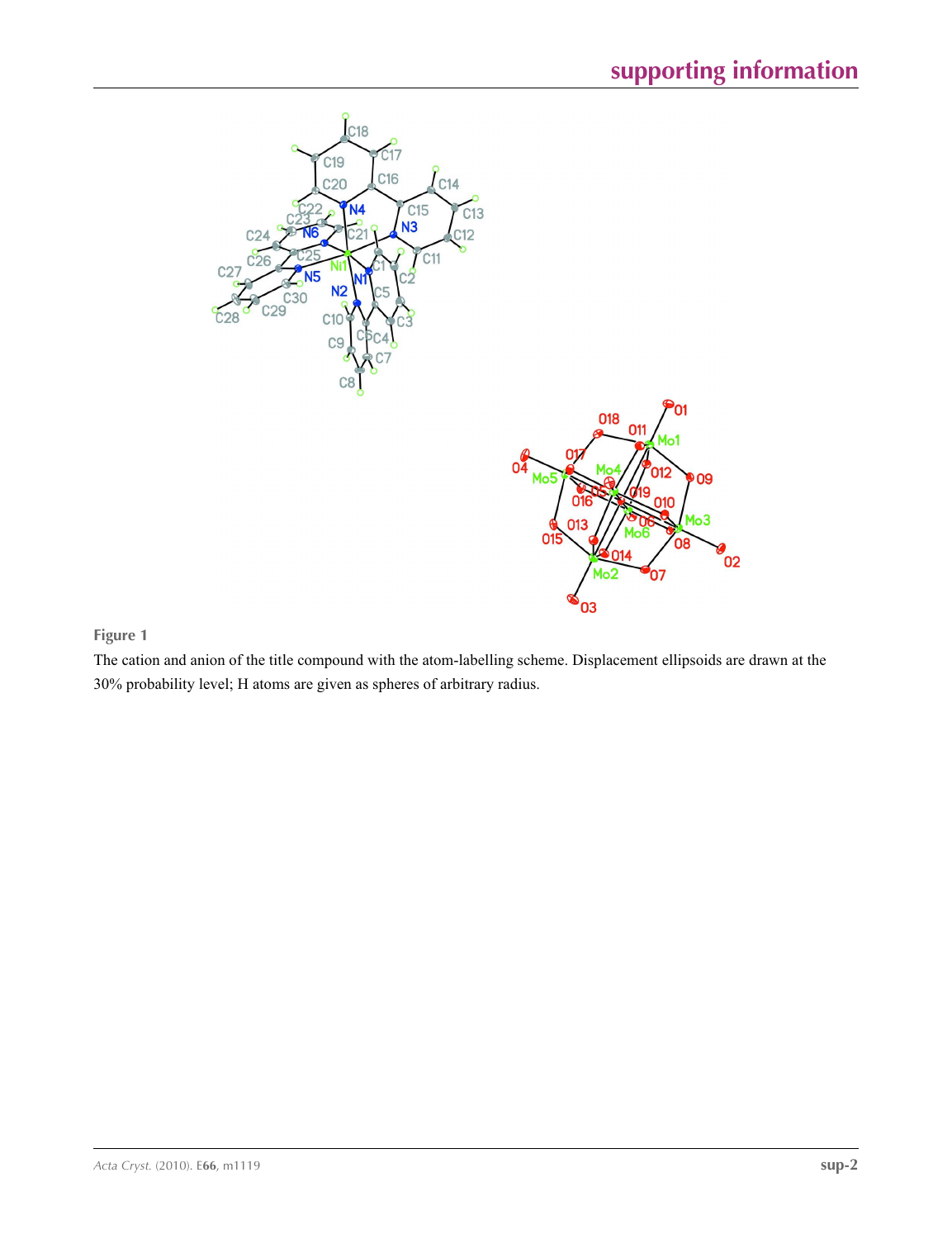

# **Figure 1**

The cation and anion of the title compound with the atom-labelling scheme. Displacement ellipsoids are drawn at the 30% probability level; H atoms are given as spheres of arbitrary radius.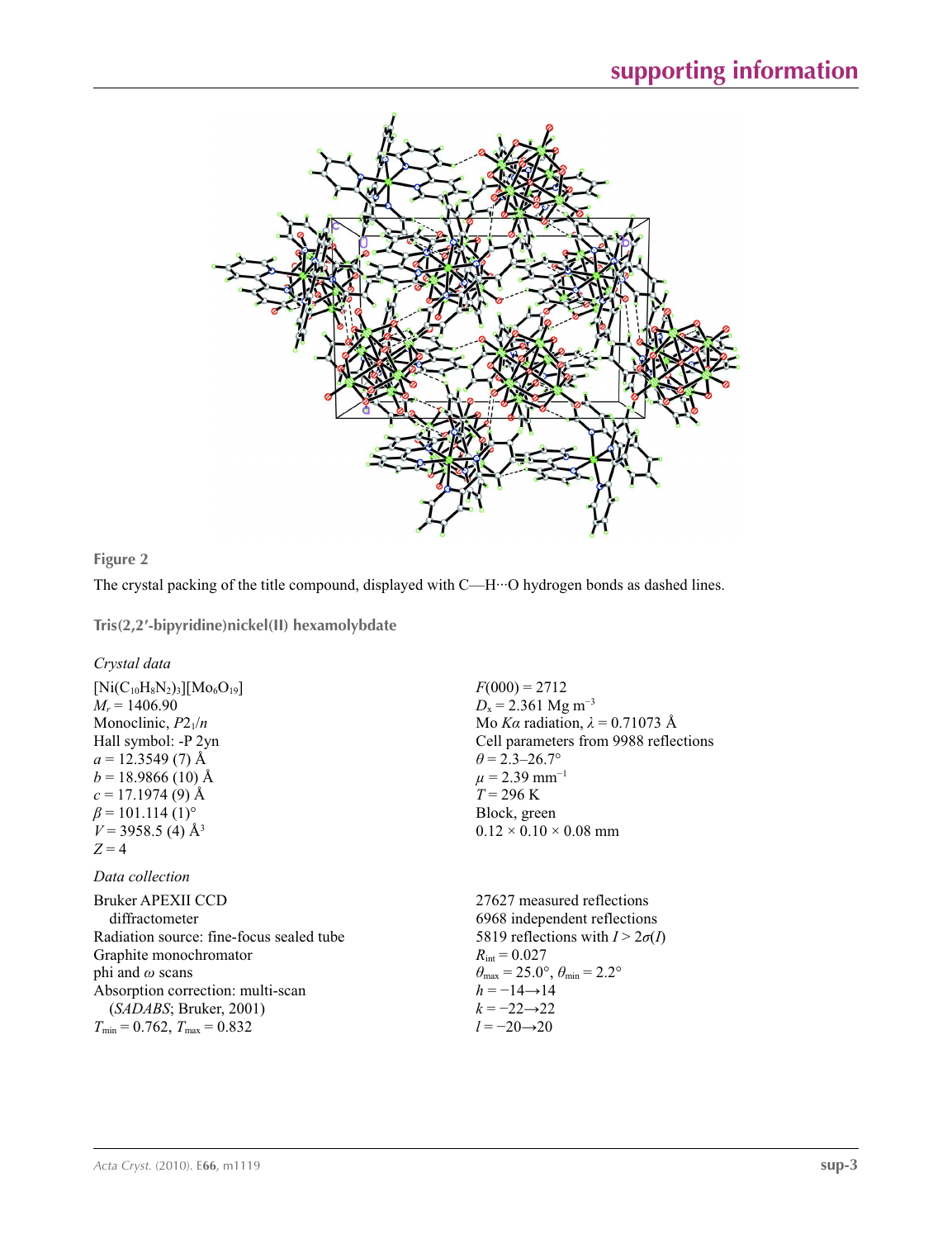

**Figure 2**

The crystal packing of the title compound, displayed with C—H···O hydrogen bonds as dashed lines.

**Tris(2,2′-bipyridine)nickel(II) hexamolybdate** 

## *Crystal data*

 $[Ni(C_{10}H_8N_2)_3][Mo_6O_{19}]$  $M_r = 1406.90$ Monoclinic,  $P2_1/n$ Hall symbol: -P 2yn  $a = 12.3549(7)$  Å  $b = 18.9866(10)$  Å  $c = 17.1974(9)$  Å  $\beta$  = 101.114 (1)<sup>o</sup>  $V = 3958.5$  (4) Å<sup>3</sup>  $Z = 4$ 

## *Data collection*

Bruker APEXII CCD diffractometer Radiation source: fine-focus sealed tube Graphite monochromator phi and *ω* scans Absorption correction: multi-scan (*SADABS*; Bruker, 2001)  $T_{\text{min}} = 0.762, T_{\text{max}} = 0.832$ 

 $F(000) = 2712$  $D_x$  = 2.361 Mg m<sup>-3</sup> Mo *Kα* radiation, *λ* = 0.71073 Å Cell parameters from 9988 reflections  $\theta$  = 2.3–26.7°  $\mu$  = 2.39 mm<sup>-1</sup>  $T = 296$  K Block, green  $0.12 \times 0.10 \times 0.08$  mm

27627 measured reflections 6968 independent reflections 5819 reflections with  $I > 2\sigma(I)$  $R_{\text{int}} = 0.027$  $\theta_{\text{max}} = 25.0^{\circ}, \theta_{\text{min}} = 2.2^{\circ}$  $h = -14 \rightarrow 14$  $k = -22 \rightarrow 22$ *l* = −20→20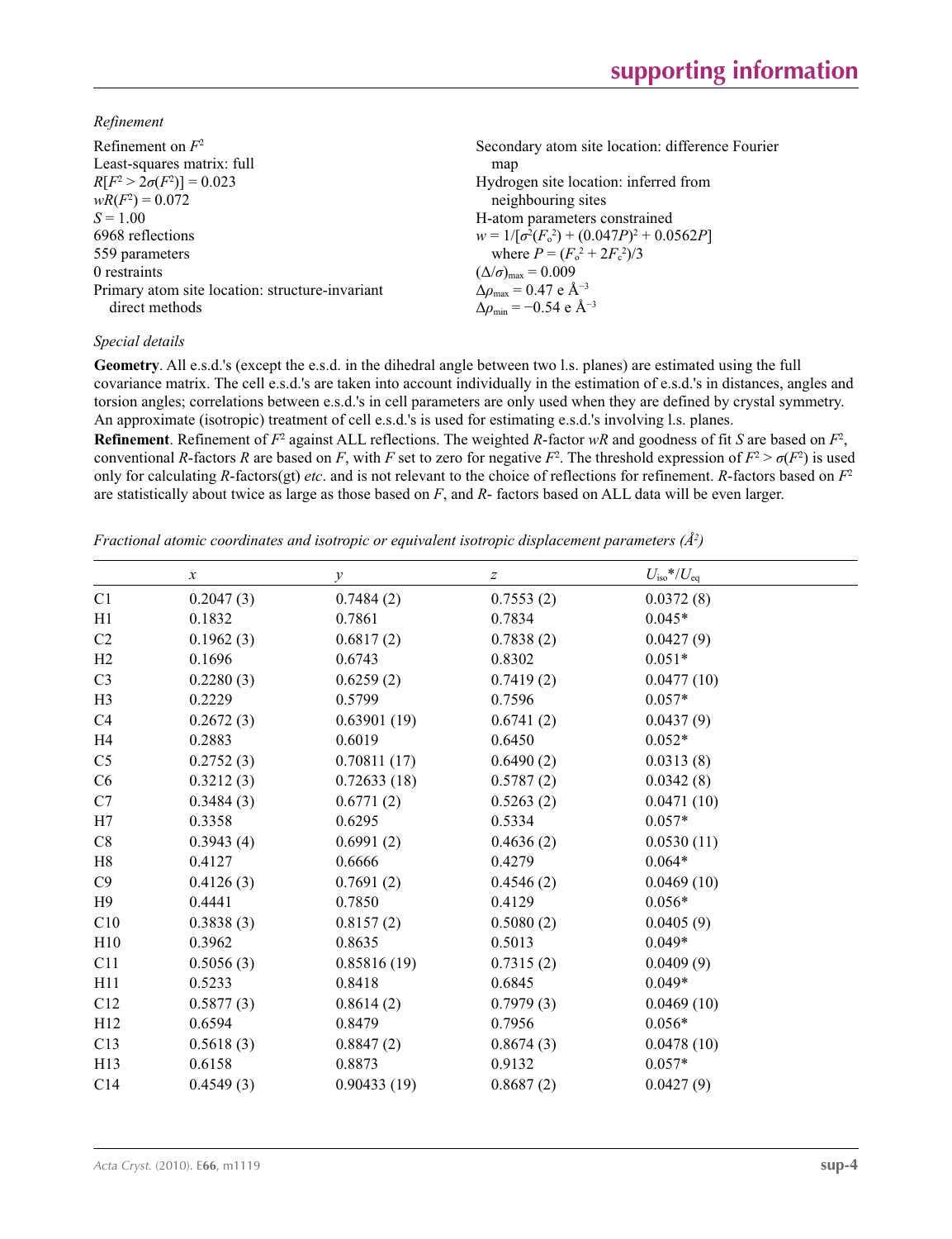*Refinement*

| Refinement on $F^2$                             | Secondary atom site location: difference Fourier          |
|-------------------------------------------------|-----------------------------------------------------------|
| Least-squares matrix: full                      | map                                                       |
| $R[F^2 > 2\sigma(F^2)] = 0.023$                 | Hydrogen site location: inferred from                     |
| $wR(F^2) = 0.072$                               | neighbouring sites                                        |
| $S = 1.00$                                      | H-atom parameters constrained                             |
| 6968 reflections                                | $w = 1/[\sigma^2(F_0^2) + (0.047P)^2 + 0.0562P]$          |
| 559 parameters                                  | where $P = (F_o^2 + 2F_c^2)/3$                            |
| 0 restraints                                    | $(\Delta/\sigma)_{\text{max}} = 0.009$                    |
| Primary atom site location: structure-invariant | $\Delta\rho_{\text{max}} = 0.47$ e Å <sup>-3</sup>        |
| direct methods                                  | $\Delta\rho_{\rm min} = -0.54 \text{ e } \text{\AA}^{-3}$ |

## *Special details*

**Geometry**. All e.s.d.'s (except the e.s.d. in the dihedral angle between two l.s. planes) are estimated using the full covariance matrix. The cell e.s.d.'s are taken into account individually in the estimation of e.s.d.'s in distances, angles and torsion angles; correlations between e.s.d.'s in cell parameters are only used when they are defined by crystal symmetry. An approximate (isotropic) treatment of cell e.s.d.'s is used for estimating e.s.d.'s involving l.s. planes.

**Refinement**. Refinement of  $F^2$  against ALL reflections. The weighted R-factor wR and goodness of fit *S* are based on  $F^2$ , conventional *R*-factors *R* are based on *F*, with *F* set to zero for negative  $F^2$ . The threshold expression of  $F^2 > \sigma(F^2)$  is used only for calculating *R*-factors(gt) *etc*. and is not relevant to the choice of reflections for refinement. *R*-factors based on *F*<sup>2</sup> are statistically about twice as large as those based on *F*, and *R*- factors based on ALL data will be even larger.

*Fractional atomic coordinates and isotropic or equivalent isotropic displacement parameters (Å<sup>2</sup>)* 

|                | $\boldsymbol{\chi}$ | $\mathcal{Y}$ | $\boldsymbol{Z}$ | $U_{\rm iso}*/U_{\rm eq}$ |
|----------------|---------------------|---------------|------------------|---------------------------|
| C1             | 0.2047(3)           | 0.7484(2)     | 0.7553(2)        | 0.0372(8)                 |
| H1             | 0.1832              | 0.7861        | 0.7834           | $0.045*$                  |
| C <sub>2</sub> | 0.1962(3)           | 0.6817(2)     | 0.7838(2)        | 0.0427(9)                 |
| H2             | 0.1696              | 0.6743        | 0.8302           | $0.051*$                  |
| C <sub>3</sub> | 0.2280(3)           | 0.6259(2)     | 0.7419(2)        | 0.0477(10)                |
| H <sub>3</sub> | 0.2229              | 0.5799        | 0.7596           | $0.057*$                  |
| C4             | 0.2672(3)           | 0.63901(19)   | 0.6741(2)        | 0.0437(9)                 |
| H4             | 0.2883              | 0.6019        | 0.6450           | $0.052*$                  |
| C <sub>5</sub> | 0.2752(3)           | 0.70811(17)   | 0.6490(2)        | 0.0313(8)                 |
| C6             | 0.3212(3)           | 0.72633(18)   | 0.5787(2)        | 0.0342(8)                 |
| C7             | 0.3484(3)           | 0.6771(2)     | 0.5263(2)        | 0.0471(10)                |
| H7             | 0.3358              | 0.6295        | 0.5334           | $0.057*$                  |
| C8             | 0.3943(4)           | 0.6991(2)     | 0.4636(2)        | 0.0530(11)                |
| H8             | 0.4127              | 0.6666        | 0.4279           | $0.064*$                  |
| C9             | 0.4126(3)           | 0.7691(2)     | 0.4546(2)        | 0.0469(10)                |
| H9             | 0.4441              | 0.7850        | 0.4129           | $0.056*$                  |
| C10            | 0.3838(3)           | 0.8157(2)     | 0.5080(2)        | 0.0405(9)                 |
| H10            | 0.3962              | 0.8635        | 0.5013           | $0.049*$                  |
| C11            | 0.5056(3)           | 0.85816(19)   | 0.7315(2)        | 0.0409(9)                 |
| H11            | 0.5233              | 0.8418        | 0.6845           | $0.049*$                  |
| C12            | 0.5877(3)           | 0.8614(2)     | 0.7979(3)        | 0.0469(10)                |
| H12            | 0.6594              | 0.8479        | 0.7956           | $0.056*$                  |
| C13            | 0.5618(3)           | 0.8847(2)     | 0.8674(3)        | 0.0478(10)                |
| H13            | 0.6158              | 0.8873        | 0.9132           | $0.057*$                  |
| C14            | 0.4549(3)           | 0.90433(19)   | 0.8687(2)        | 0.0427(9)                 |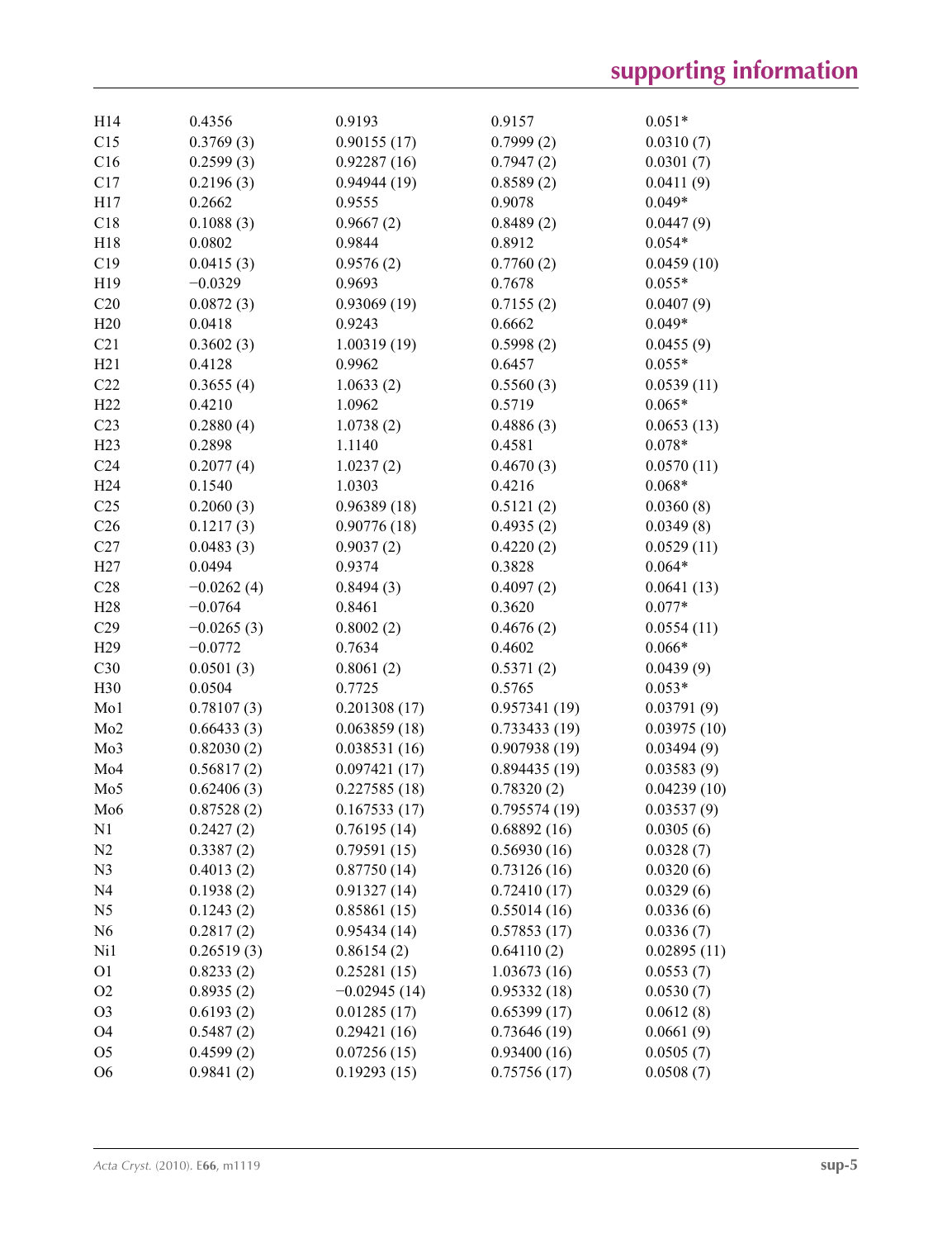| H14             | 0.4356       | 0.9193         | 0.9157       | $0.051*$    |
|-----------------|--------------|----------------|--------------|-------------|
| C15             | 0.3769(3)    | 0.90155(17)    | 0.7999(2)    | 0.0310(7)   |
| C16             | 0.2599(3)    | 0.92287(16)    | 0.7947(2)    | 0.0301(7)   |
| C17             | 0.2196(3)    | 0.94944(19)    | 0.8589(2)    | 0.0411(9)   |
| H17             | 0.2662       | 0.9555         | 0.9078       | $0.049*$    |
| C18             | 0.1088(3)    | 0.9667(2)      | 0.8489(2)    | 0.0447(9)   |
| H18             | 0.0802       | 0.9844         | 0.8912       | $0.054*$    |
| C19             | 0.0415(3)    | 0.9576(2)      | 0.7760(2)    | 0.0459(10)  |
| H19             | $-0.0329$    | 0.9693         | 0.7678       | $0.055*$    |
| C20             | 0.0872(3)    | 0.93069(19)    | 0.7155(2)    | 0.0407(9)   |
| H20             | 0.0418       | 0.9243         | 0.6662       | $0.049*$    |
| C21             | 0.3602(3)    | 1.00319(19)    | 0.5998(2)    | 0.0455(9)   |
| H21             | 0.4128       | 0.9962         | 0.6457       | $0.055*$    |
| C22             | 0.3655(4)    | 1.0633(2)      | 0.5560(3)    | 0.0539(11)  |
| H <sub>22</sub> | 0.4210       | 1.0962         | 0.5719       | $0.065*$    |
| C <sub>23</sub> | 0.2880(4)    | 1.0738(2)      | 0.4886(3)    | 0.0653(13)  |
| H23             | 0.2898       | 1.1140         | 0.4581       | $0.078*$    |
| C <sub>24</sub> | 0.2077(4)    | 1.0237(2)      | 0.4670(3)    | 0.0570(11)  |
| H <sub>24</sub> | 0.1540       | 1.0303         | 0.4216       | $0.068*$    |
| C <sub>25</sub> | 0.2060(3)    | 0.96389(18)    | 0.5121(2)    | 0.0360(8)   |
| C <sub>26</sub> | 0.1217(3)    | 0.90776(18)    | 0.4935(2)    | 0.0349(8)   |
| C27             | 0.0483(3)    | 0.9037(2)      | 0.4220(2)    | 0.0529(11)  |
| H27             | 0.0494       | 0.9374         | 0.3828       | $0.064*$    |
| C28             | $-0.0262(4)$ | 0.8494(3)      | 0.4097(2)    | 0.0641(13)  |
| H <sub>28</sub> | $-0.0764$    | 0.8461         | 0.3620       | $0.077*$    |
| C29             | $-0.0265(3)$ | 0.8002(2)      | 0.4676(2)    | 0.0554(11)  |
| H <sub>29</sub> | $-0.0772$    | 0.7634         | 0.4602       | $0.066*$    |
| C30             | 0.0501(3)    | 0.8061(2)      | 0.5371(2)    | 0.0439(9)   |
| H30             | 0.0504       | 0.7725         | 0.5765       | $0.053*$    |
| Mo1             | 0.78107(3)   | 0.201308(17)   | 0.957341(19) | 0.03791(9)  |
| Mo <sub>2</sub> | 0.66433(3)   | 0.063859(18)   | 0.733433(19) | 0.03975(10) |
| Mo3             | 0.82030(2)   | 0.038531(16)   | 0.907938(19) | 0.03494(9)  |
| Mo4             | 0.56817(2)   | 0.097421(17)   | 0.894435(19) | 0.03583(9)  |
| Mo <sub>5</sub> | 0.62406(3)   | 0.227585(18)   | 0.78320(2)   | 0.04239(10) |
| Mo6             | 0.87528(2)   | 0.167533(17)   | 0.795574(19) | 0.03537(9)  |
| N1              | 0.2427(2)    | 0.76195(14)    | 0.68892(16)  | 0.0305(6)   |
| N <sub>2</sub>  | 0.3387(2)    | 0.79591(15)    | 0.56930(16)  | 0.0328(7)   |
| N <sub>3</sub>  | 0.4013(2)    | 0.87750(14)    | 0.73126(16)  | 0.0320(6)   |
| N <sub>4</sub>  | 0.1938(2)    | 0.91327(14)    | 0.72410(17)  | 0.0329(6)   |
| N <sub>5</sub>  | 0.1243(2)    | 0.85861(15)    | 0.55014(16)  | 0.0336(6)   |
| N <sub>6</sub>  | 0.2817(2)    | 0.95434(14)    | 0.57853(17)  | 0.0336(7)   |
| Ni1             | 0.26519(3)   | 0.86154(2)     | 0.64110(2)   | 0.02895(11) |
| O <sub>1</sub>  | 0.8233(2)    | 0.25281(15)    | 1.03673(16)  | 0.0553(7)   |
| O <sub>2</sub>  | 0.8935(2)    | $-0.02945(14)$ | 0.95332(18)  | 0.0530(7)   |
| O <sub>3</sub>  | 0.6193(2)    | 0.01285(17)    | 0.65399(17)  | 0.0612(8)   |
| O <sub>4</sub>  | 0.5487(2)    | 0.29421(16)    | 0.73646(19)  | 0.0661(9)   |
| O <sub>5</sub>  | 0.4599(2)    | 0.07256(15)    | 0.93400(16)  | 0.0505(7)   |
| O <sub>6</sub>  | 0.9841(2)    | 0.19293(15)    | 0.75756(17)  | 0.0508(7)   |
|                 |              |                |              |             |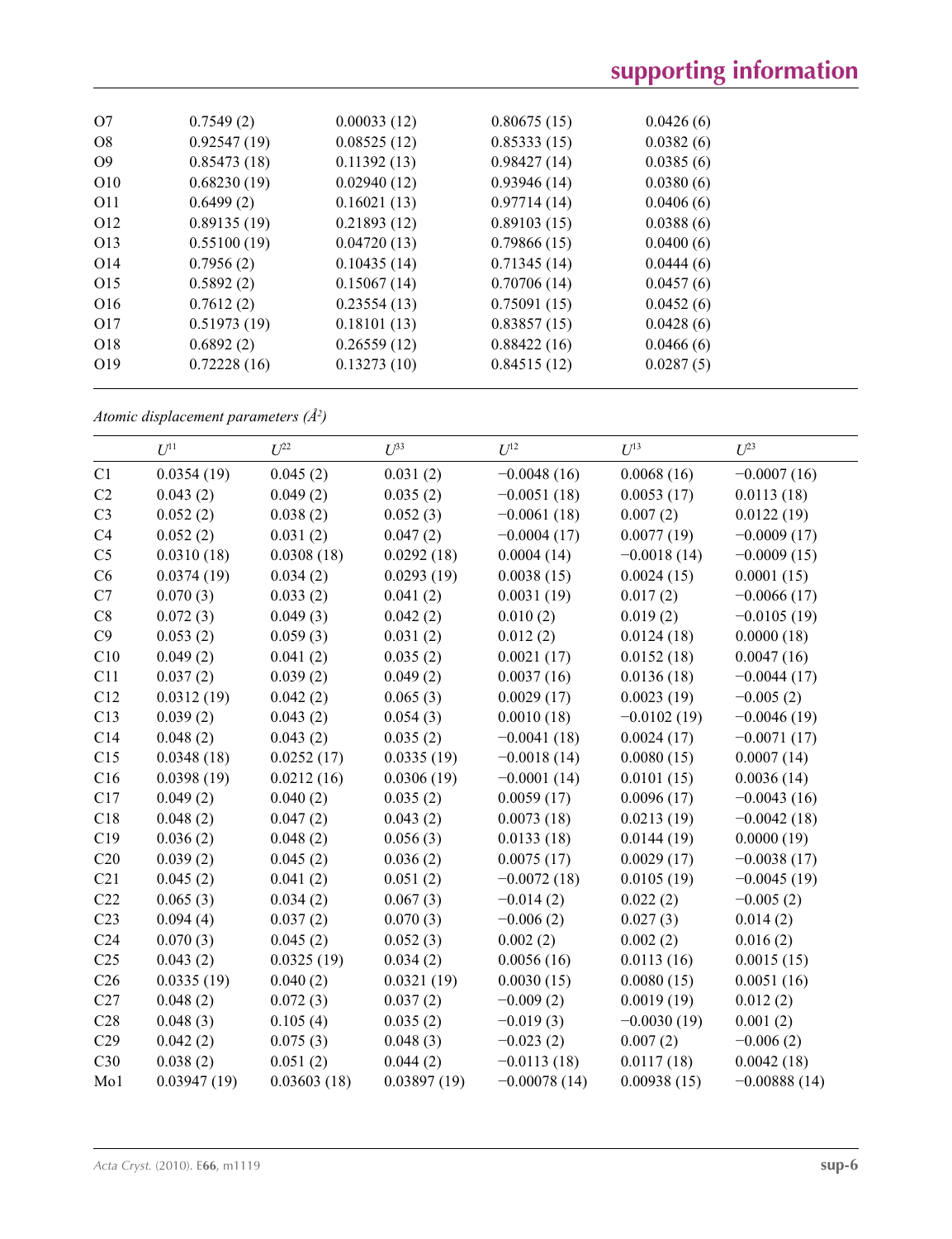| O7              | 0.7549(2)   | 0.00033(12) | 0.80675(15) | 0.0426(6) |
|-----------------|-------------|-------------|-------------|-----------|
| O8              | 0.92547(19) | 0.08525(12) | 0.85333(15) | 0.0382(6) |
| O <sub>9</sub>  | 0.85473(18) | 0.11392(13) | 0.98427(14) | 0.0385(6) |
| O <sub>10</sub> | 0.68230(19) | 0.02940(12) | 0.93946(14) | 0.0380(6) |
| 011             | 0.6499(2)   | 0.16021(13) | 0.97714(14) | 0.0406(6) |
| O <sub>12</sub> | 0.89135(19) | 0.21893(12) | 0.89103(15) | 0.0388(6) |
| O <sub>13</sub> | 0.55100(19) | 0.04720(13) | 0.79866(15) | 0.0400(6) |
| O <sub>14</sub> | 0.7956(2)   | 0.10435(14) | 0.71345(14) | 0.0444(6) |
| O <sub>15</sub> | 0.5892(2)   | 0.15067(14) | 0.70706(14) | 0.0457(6) |
| O <sub>16</sub> | 0.7612(2)   | 0.23554(13) | 0.75091(15) | 0.0452(6) |
| O <sub>17</sub> | 0.51973(19) | 0.18101(13) | 0.83857(15) | 0.0428(6) |
| O <sub>18</sub> | 0.6892(2)   | 0.26559(12) | 0.88422(16) | 0.0466(6) |
| O <sub>19</sub> | 0.72228(16) | 0.13273(10) | 0.84515(12) | 0.0287(5) |
|                 |             |             |             |           |

*Atomic displacement parameters (Å2 )*

|                 | $U^{11}$    | $U^{22}$    | $U^{33}$    | $U^{12}$       | $U^{13}$      | $U^{23}$       |
|-----------------|-------------|-------------|-------------|----------------|---------------|----------------|
| C1              | 0.0354(19)  | 0.045(2)    | 0.031(2)    | $-0.0048(16)$  | 0.0068(16)    | $-0.0007(16)$  |
| C2              | 0.043(2)    | 0.049(2)    | 0.035(2)    | $-0.0051(18)$  | 0.0053(17)    | 0.0113(18)     |
| C <sub>3</sub>  | 0.052(2)    | 0.038(2)    | 0.052(3)    | $-0.0061(18)$  | 0.007(2)      | 0.0122(19)     |
| C4              | 0.052(2)    | 0.031(2)    | 0.047(2)    | $-0.0004(17)$  | 0.0077(19)    | $-0.0009(17)$  |
| C <sub>5</sub>  | 0.0310(18)  | 0.0308(18)  | 0.0292(18)  | 0.0004(14)     | $-0.0018(14)$ | $-0.0009(15)$  |
| C6              | 0.0374(19)  | 0.034(2)    | 0.0293(19)  | 0.0038(15)     | 0.0024(15)    | 0.0001(15)     |
| C7              | 0.070(3)    | 0.033(2)    | 0.041(2)    | 0.0031(19)     | 0.017(2)      | $-0.0066(17)$  |
| C8              | 0.072(3)    | 0.049(3)    | 0.042(2)    | 0.010(2)       | 0.019(2)      | $-0.0105(19)$  |
| C9              | 0.053(2)    | 0.059(3)    | 0.031(2)    | 0.012(2)       | 0.0124(18)    | 0.0000(18)     |
| C10             | 0.049(2)    | 0.041(2)    | 0.035(2)    | 0.0021(17)     | 0.0152(18)    | 0.0047(16)     |
| C11             | 0.037(2)    | 0.039(2)    | 0.049(2)    | 0.0037(16)     | 0.0136(18)    | $-0.0044(17)$  |
| C12             | 0.0312(19)  | 0.042(2)    | 0.065(3)    | 0.0029(17)     | 0.0023(19)    | $-0.005(2)$    |
| C13             | 0.039(2)    | 0.043(2)    | 0.054(3)    | 0.0010(18)     | $-0.0102(19)$ | $-0.0046(19)$  |
| C14             | 0.048(2)    | 0.043(2)    | 0.035(2)    | $-0.0041(18)$  | 0.0024(17)    | $-0.0071(17)$  |
| C15             | 0.0348(18)  | 0.0252(17)  | 0.0335(19)  | $-0.0018(14)$  | 0.0080(15)    | 0.0007(14)     |
| C16             | 0.0398(19)  | 0.0212(16)  | 0.0306(19)  | $-0.0001(14)$  | 0.0101(15)    | 0.0036(14)     |
| C17             | 0.049(2)    | 0.040(2)    | 0.035(2)    | 0.0059(17)     | 0.0096(17)    | $-0.0043(16)$  |
| C18             | 0.048(2)    | 0.047(2)    | 0.043(2)    | 0.0073(18)     | 0.0213(19)    | $-0.0042(18)$  |
| C19             | 0.036(2)    | 0.048(2)    | 0.056(3)    | 0.0133(18)     | 0.0144(19)    | 0.0000(19)     |
| C20             | 0.039(2)    | 0.045(2)    | 0.036(2)    | 0.0075(17)     | 0.0029(17)    | $-0.0038(17)$  |
| C21             | 0.045(2)    | 0.041(2)    | 0.051(2)    | $-0.0072(18)$  | 0.0105(19)    | $-0.0045(19)$  |
| C22             | 0.065(3)    | 0.034(2)    | 0.067(3)    | $-0.014(2)$    | 0.022(2)      | $-0.005(2)$    |
| C23             | 0.094(4)    | 0.037(2)    | 0.070(3)    | $-0.006(2)$    | 0.027(3)      | 0.014(2)       |
| C <sub>24</sub> | 0.070(3)    | 0.045(2)    | 0.052(3)    | 0.002(2)       | 0.002(2)      | 0.016(2)       |
| C <sub>25</sub> | 0.043(2)    | 0.0325(19)  | 0.034(2)    | 0.0056(16)     | 0.0113(16)    | 0.0015(15)     |
| C <sub>26</sub> | 0.0335(19)  | 0.040(2)    | 0.0321(19)  | 0.0030(15)     | 0.0080(15)    | 0.0051(16)     |
| C27             | 0.048(2)    | 0.072(3)    | 0.037(2)    | $-0.009(2)$    | 0.0019(19)    | 0.012(2)       |
| C28             | 0.048(3)    | 0.105(4)    | 0.035(2)    | $-0.019(3)$    | $-0.0030(19)$ | 0.001(2)       |
| C29             | 0.042(2)    | 0.075(3)    | 0.048(3)    | $-0.023(2)$    | 0.007(2)      | $-0.006(2)$    |
| C30             | 0.038(2)    | 0.051(2)    | 0.044(2)    | $-0.0113(18)$  | 0.0117(18)    | 0.0042(18)     |
| Mo1             | 0.03947(19) | 0.03603(18) | 0.03897(19) | $-0.00078(14)$ | 0.00938(15)   | $-0.00888(14)$ |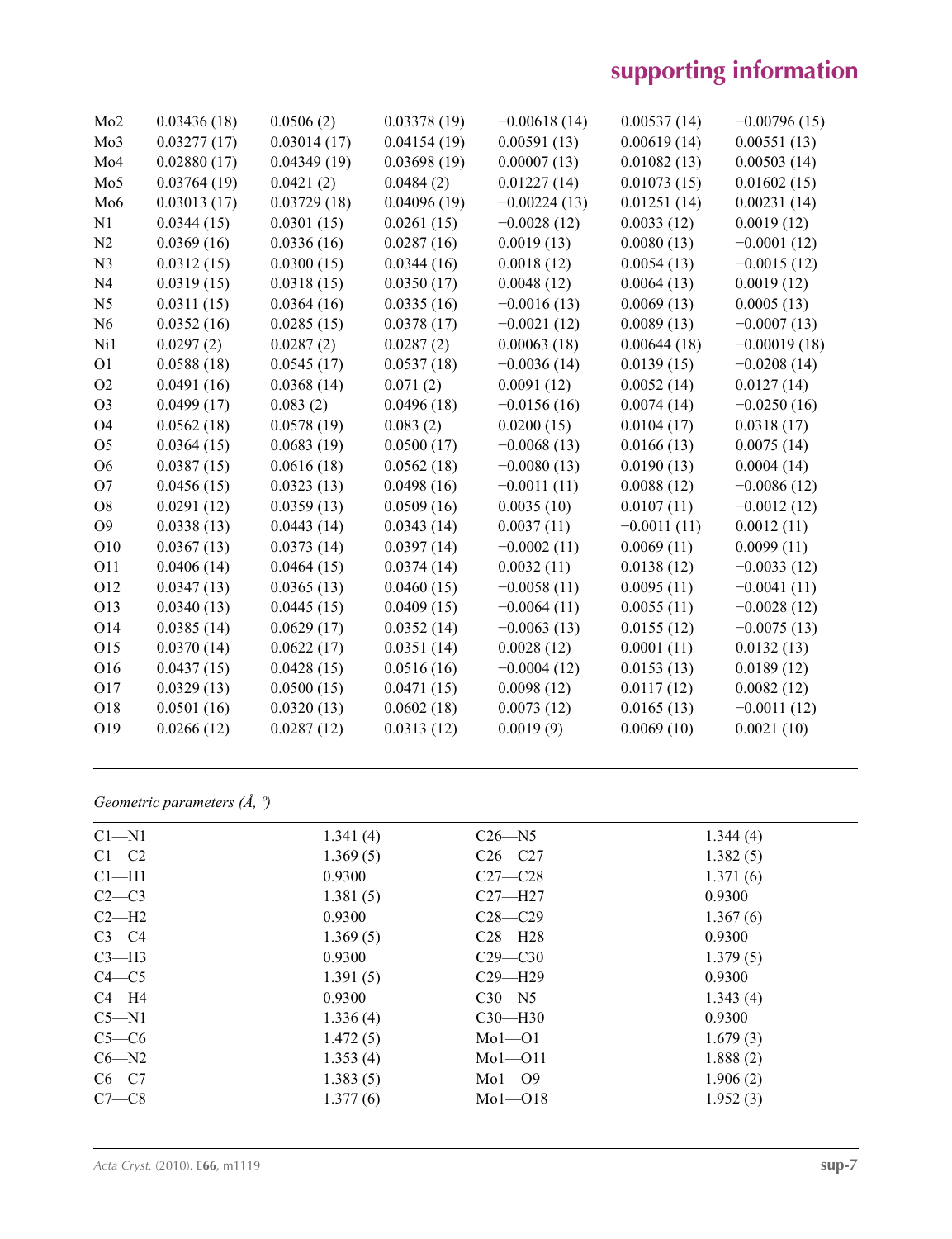# **supporting information**

| Mo2            | 0.03436(18) | 0.0506(2)   | 0.03378(19) | $-0.00618(14)$ | 0.00537(14)   | $-0.00796(15)$ |
|----------------|-------------|-------------|-------------|----------------|---------------|----------------|
| Mo3            | 0.03277(17) | 0.03014(17) | 0.04154(19) | 0.00591(13)    | 0.00619(14)   | 0.00551(13)    |
| Mo4            | 0.02880(17) | 0.04349(19) | 0.03698(19) | 0.00007(13)    | 0.01082(13)   | 0.00503(14)    |
| Mo5            | 0.03764(19) | 0.0421(2)   | 0.0484(2)   | 0.01227(14)    | 0.01073(15)   | 0.01602(15)    |
| Mo6            | 0.03013(17) | 0.03729(18) | 0.04096(19) | $-0.00224(13)$ | 0.01251(14)   | 0.00231(14)    |
| N1             | 0.0344(15)  | 0.0301(15)  | 0.0261(15)  | $-0.0028(12)$  | 0.0033(12)    | 0.0019(12)     |
| N2             | 0.0369(16)  | 0.0336(16)  | 0.0287(16)  | 0.0019(13)     | 0.0080(13)    | $-0.0001(12)$  |
| N <sub>3</sub> | 0.0312(15)  | 0.0300(15)  | 0.0344(16)  | 0.0018(12)     | 0.0054(13)    | $-0.0015(12)$  |
| N <sub>4</sub> | 0.0319(15)  | 0.0318(15)  | 0.0350(17)  | 0.0048(12)     | 0.0064(13)    | 0.0019(12)     |
| N <sub>5</sub> | 0.0311(15)  | 0.0364(16)  | 0.0335(16)  | $-0.0016(13)$  | 0.0069(13)    | 0.0005(13)     |
| N <sub>6</sub> | 0.0352(16)  | 0.0285(15)  | 0.0378(17)  | $-0.0021(12)$  | 0.0089(13)    | $-0.0007(13)$  |
| Ni1            | 0.0297(2)   | 0.0287(2)   | 0.0287(2)   | 0.00063(18)    | 0.00644(18)   | $-0.00019(18)$ |
| O <sub>1</sub> | 0.0588(18)  | 0.0545(17)  | 0.0537(18)  | $-0.0036(14)$  | 0.0139(15)    | $-0.0208(14)$  |
| O <sub>2</sub> | 0.0491(16)  | 0.0368(14)  | 0.071(2)    | 0.0091(12)     | 0.0052(14)    | 0.0127(14)     |
| O <sub>3</sub> | 0.0499(17)  | 0.083(2)    | 0.0496(18)  | $-0.0156(16)$  | 0.0074(14)    | $-0.0250(16)$  |
| <b>O4</b>      | 0.0562(18)  | 0.0578(19)  | 0.083(2)    | 0.0200(15)     | 0.0104(17)    | 0.0318(17)     |
| O <sub>5</sub> | 0.0364(15)  | 0.0683(19)  | 0.0500(17)  | $-0.0068(13)$  | 0.0166(13)    | 0.0075(14)     |
| O <sub>6</sub> | 0.0387(15)  | 0.0616(18)  | 0.0562(18)  | $-0.0080(13)$  | 0.0190(13)    | 0.0004(14)     |
| O <sub>7</sub> | 0.0456(15)  | 0.0323(13)  | 0.0498(16)  | $-0.0011(11)$  | 0.0088(12)    | $-0.0086(12)$  |
| O <sub>8</sub> | 0.0291(12)  | 0.0359(13)  | 0.0509(16)  | 0.0035(10)     | 0.0107(11)    | $-0.0012(12)$  |
| O <sub>9</sub> | 0.0338(13)  | 0.0443(14)  | 0.0343(14)  | 0.0037(11)     | $-0.0011(11)$ | 0.0012(11)     |
| O10            | 0.0367(13)  | 0.0373(14)  | 0.0397(14)  | $-0.0002(11)$  | 0.0069(11)    | 0.0099(11)     |
| O11            | 0.0406(14)  | 0.0464(15)  | 0.0374(14)  | 0.0032(11)     | 0.0138(12)    | $-0.0033(12)$  |
| O12            | 0.0347(13)  | 0.0365(13)  | 0.0460(15)  | $-0.0058(11)$  | 0.0095(11)    | $-0.0041(11)$  |
| O13            | 0.0340(13)  | 0.0445(15)  | 0.0409(15)  | $-0.0064(11)$  | 0.0055(11)    | $-0.0028(12)$  |
| O14            | 0.0385(14)  | 0.0629(17)  | 0.0352(14)  | $-0.0063(13)$  | 0.0155(12)    | $-0.0075(13)$  |
| O15            | 0.0370(14)  | 0.0622(17)  | 0.0351(14)  | 0.0028(12)     | 0.0001(11)    | 0.0132(13)     |
| O16            | 0.0437(15)  | 0.0428(15)  | 0.0516(16)  | $-0.0004(12)$  | 0.0153(13)    | 0.0189(12)     |
| O17            | 0.0329(13)  | 0.0500(15)  | 0.0471(15)  | 0.0098(12)     | 0.0117(12)    | 0.0082(12)     |
| O18            | 0.0501(16)  | 0.0320(13)  | 0.0602(18)  | 0.0073(12)     | 0.0165(13)    | $-0.0011(12)$  |
| O19            | 0.0266(12)  | 0.0287(12)  | 0.0313(12)  | 0.0019(9)      | 0.0069(10)    | 0.0021(10)     |
|                |             |             |             |                |               |                |

*Geometric parameters (Å, º)*

| $C1 - N1$ | 1.341(4) | $C26 - N5$  | 1.344(4) |
|-----------|----------|-------------|----------|
| $C1-C2$   | 1.369(5) | $C26 - C27$ | 1.382(5) |
| $Cl-H1$   | 0.9300   | $C27-C28$   | 1.371(6) |
| $C2-C3$   | 1.381(5) | $C27 - H27$ | 0.9300   |
| $C2-H2$   | 0.9300   | $C28 - C29$ | 1.367(6) |
| $C3-C4$   | 1.369(5) | $C28 - H28$ | 0.9300   |
| $C3-H3$   | 0.9300   | $C29 - C30$ | 1.379(5) |
| $C4 - C5$ | 1.391(5) | $C29 - H29$ | 0.9300   |
| $C4 - H4$ | 0.9300   | $C30 - N5$  | 1.343(4) |
| $C5 - N1$ | 1.336(4) | $C30-H30$   | 0.9300   |
| $C5-C6$   | 1.472(5) | $Mo1-O1$    | 1.679(3) |
| $C6 - N2$ | 1.353(4) | $Mo1-O11$   | 1.888(2) |
| $C6-C7$   | 1.383(5) | $Mo1-O9$    | 1.906(2) |
| $C7-C8$   | 1.377(6) | $Mo1 - O18$ | 1.952(3) |
|           |          |             |          |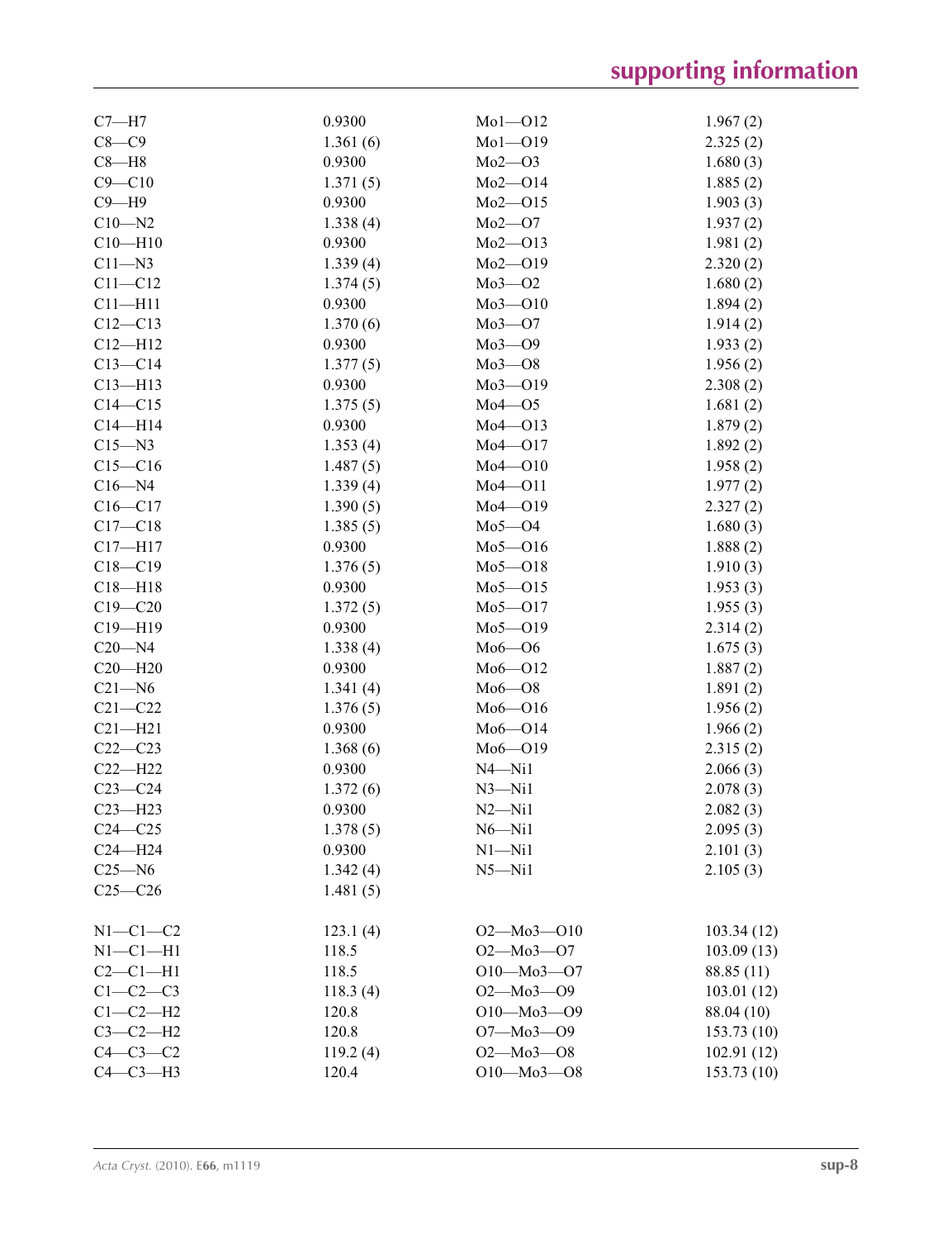| $C7 - H7$      | 0.9300   | $Mol$ -Ol2               | 1.967(2)             |
|----------------|----------|--------------------------|----------------------|
| $C8-C9$        | 1.361(6) | $Mo1 - O19$              | 2.325(2)             |
| $C8 - H8$      | 0.9300   | $Mo2-O3$                 | 1.680(3)             |
| $C9 - C10$     | 1.371(5) | $Mo2-O14$                | 1.885(2)             |
| $C9 - H9$      | 0.9300   | $Mo2-O15$                | 1.903(3)             |
| $C10 - N2$     | 1.338(4) | $Mo2-O7$                 | 1.937(2)             |
| $C10 - H10$    | 0.9300   | $Mo2-O13$                | 1.981(2)             |
| $C11 - N3$     | 1.339(4) | $Mo2-O19$                | 2.320(2)             |
| $C11 - C12$    | 1.374(5) | $Mo3-O2$                 | 1.680(2)             |
| $C11 - H11$    | 0.9300   | $Mo3 - O10$              | 1.894(2)             |
| $C12 - C13$    | 1.370(6) | $Mo3-O7$                 | 1.914(2)             |
| $C12 - H12$    | 0.9300   | $Mo3-O9$                 | 1.933(2)             |
| $C13 - C14$    | 1.377(5) | $Mo3 - O8$               | 1.956(2)             |
| $C13 - H13$    | 0.9300   | $Mo3 - O19$              | 2.308(2)             |
| $C14 - C15$    | 1.375(5) | $Mo4 - O5$               | 1.681(2)             |
| $C14 - H14$    | 0.9300   | $Mo4 - O13$              | 1.879(2)             |
| $C15 - N3$     | 1.353(4) | $Mo4 - O17$              | 1.892(2)             |
| $C15 - C16$    | 1.487(5) | $Mo4 - O10$              | 1.958(2)             |
| $C16 - N4$     | 1.339(4) | $Mo4-O11$                | 1.977(2)             |
| $C16 - C17$    | 1.390(5) | $Mo4 - O19$              | 2.327(2)             |
| $C17 - C18$    | 1.385(5) | $Mo5-O4$                 | 1.680(3)             |
| $C17 - H17$    | 0.9300   | $Mo5 - O16$              | 1.888(2)             |
| $C18 - C19$    | 1.376(5) | $Mo5-O18$                | 1.910(3)             |
| $C18 - H18$    | 0.9300   | $Mo5 - O15$              | 1.953(3)             |
| $C19 - C20$    | 1.372(5) | $Mo5-O17$                | 1.955(3)             |
| $C19 - H19$    | 0.9300   | $Mo5-O19$                | 2.314(2)             |
| $C20 - N4$     | 1.338(4) | $Mo6 - O6$               | 1.675(3)             |
| $C20 - H20$    | 0.9300   | $Mo6 - O12$              | 1.887(2)             |
| $C21 - N6$     | 1.341(4) | $Mo6 - O8$               | 1.891(2)             |
| $C21 - C22$    | 1.376(5) | $Mo6 - O16$              | 1.956(2)             |
| $C21 - H21$    | 0.9300   | $Mo6 - O14$              | 1.966(2)             |
| $C22-C23$      | 1.368(6) | $Mo6 - O19$              |                      |
| $C22-H22$      | 0.9300   | $N4 - N11$               | 2.315(2)<br>2.066(3) |
| $C23-C24$      |          |                          |                      |
|                | 1.372(6) | $N3 - N11$<br>$N2 - N11$ | 2.078(3)             |
| $C23 - H23$    | 0.9300   |                          | 2.082(3)             |
| $C24 - C25$    | 1.378(5) | $N6 - N11$               | 2.095(3)             |
| $C24 - H24$    | 0.9300   | $N1 - N11$               | 2.101(3)             |
| $C25 - N6$     | 1.342(4) | $N5 - N11$               | 2.105(3)             |
| $C25-C26$      | 1.481(5) |                          |                      |
| $N1-C1-C2$     | 123.1(4) | $O2 - Mo3 - O10$         | 103.34(12)           |
| $N1 - C1 - H1$ | 118.5    | $O2 - Mo3 - O7$          | 103.09(13)           |
| $C2-C1-H1$     | 118.5    | $O10 - Mo3 - O7$         | 88.85 (11)           |
| $C1-C2-C3$     | 118.3(4) | $O2 - Mo3 - O9$          | 103.01(12)           |
| $C1-C2-H2$     | 120.8    | $O10 - Mo3 - O9$         | 88.04 (10)           |
| $C3-C2-H2$     | 120.8    | O7-Mo3-O9                | 153.73(10)           |
| $C4-C3-C2$     | 119.2(4) | $O2 - Mo3 - O8$          | 102.91(12)           |
| $C4-C3-H3$     | 120.4    | $O10 - Mo3 - O8$         | 153.73(10)           |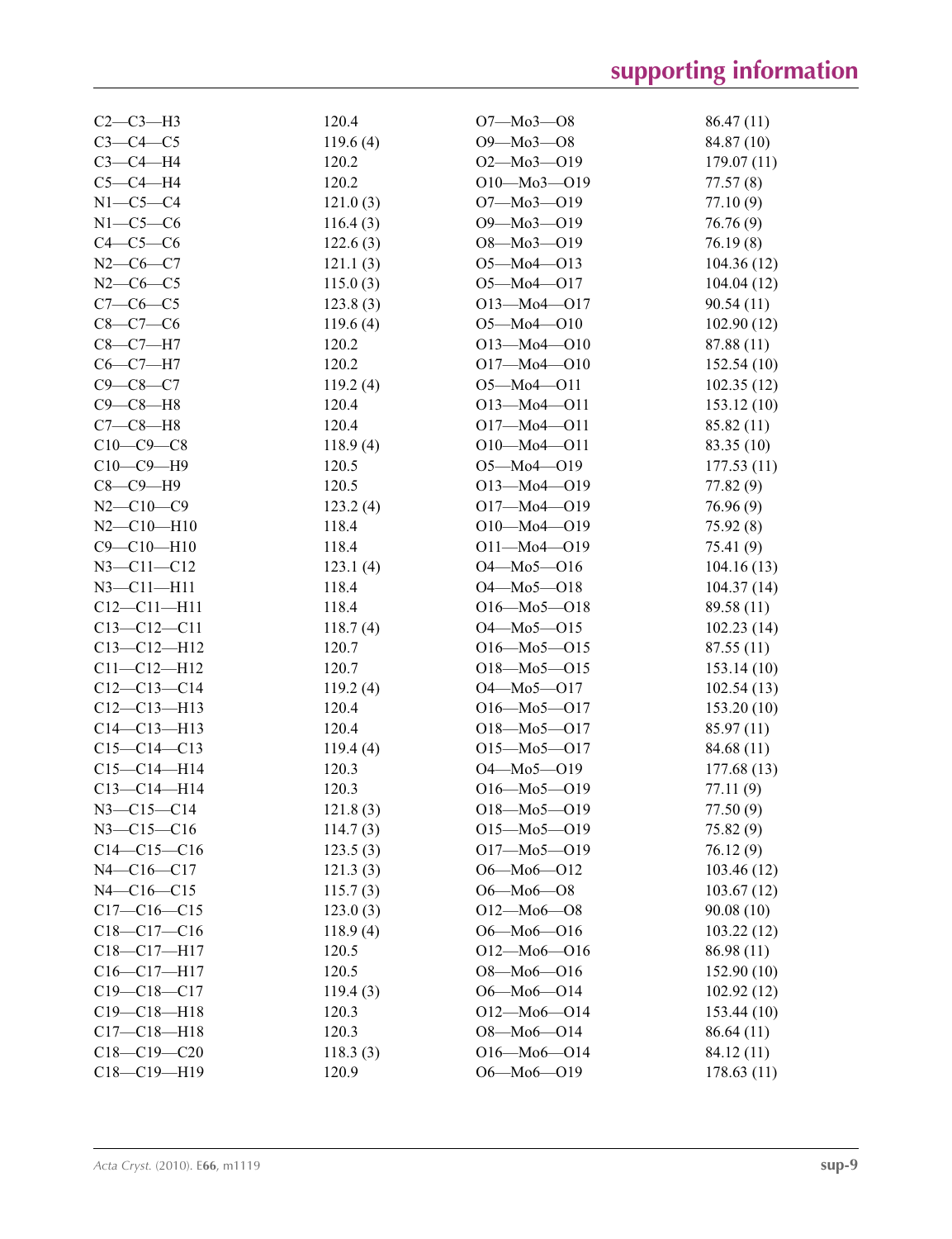| $C2-C3-H3$        | 120.4    | $O7 - Mo3 - O8$   | 86.47(11)   |
|-------------------|----------|-------------------|-------------|
| $C3-C4-C5$        | 119.6(4) | $O9 - Mo3 - O8$   | 84.87 (10)  |
| $C3-C4-H4$        | 120.2    | $O2 - Mo3 - O19$  | 179.07(11)  |
| $C5-C4-H4$        | 120.2    | $O10 - Mo3 - O19$ | 77.57(8)    |
| $N1-C5-C4$        | 121.0(3) | O7-Mo3-O19        | 77.10 (9)   |
| $N1-C5-C6$        | 116.4(3) | O9-Mo3-O19        | 76.76(9)    |
| $C4-C5-C6$        | 122.6(3) | $O8 - Mo3 - O19$  | 76.19(8)    |
| $N2-C6-C7$        | 121.1(3) | $O5 - Mo4 - O13$  | 104.36(12)  |
| $N2-C6-C5$        | 115.0(3) | $O5 - Mo4 - O17$  | 104.04(12)  |
| $C7-C6-C5$        | 123.8(3) | $O13 - Mo4 - O17$ | 90.54(11)   |
| $C8-C7-C6$        | 119.6(4) | $O5 - Mo4 - O10$  | 102.90(12)  |
| $C8-C7-H7$        | 120.2    | $O13 - Mo4 - O10$ | 87.88 (11)  |
| $C6-C7-H7$        | 120.2    | $O17 - Mo4 - O10$ | 152.54 (10) |
| $C9 - C8 - C7$    | 119.2(4) | $O5 - Mo4 - O11$  |             |
| $C9 - C8 - H8$    | 120.4    |                   | 102.35(12)  |
|                   |          | $O13 - Mo4 - O11$ | 153.12(10)  |
| $C7-C8-H8$        | 120.4    | $O17 - Mo4 - O11$ | 85.82 (11)  |
| $C10-C9-C8$       | 118.9(4) | $O10 - Mo4 - O11$ | 83.35 (10)  |
| $C10-C9-H9$       | 120.5    | $O5 - Mo4 - O19$  | 177.53(11)  |
| $C8-C9-H9$        | 120.5    | $O13 - Mo4 - O19$ | 77.82 (9)   |
| $N2 - C10 - C9$   | 123.2(4) | O17-Mo4-O19       | 76.96 (9)   |
| $N2 - C10 - H10$  | 118.4    | $O10 - Mo4 - O19$ | 75.92(8)    |
| $C9 - C10 - H10$  | 118.4    | $O11 - Mo4 - O19$ | 75.41 (9)   |
| $N3 - C11 - C12$  | 123.1(4) | $O4 - Mo5 - O16$  | 104.16(13)  |
| $N3 - C11 - H11$  | 118.4    | $O4 - Mo5 - O18$  | 104.37(14)  |
| $C12 - C11 - H11$ | 118.4    | $O16 - Mo5 - O18$ | 89.58 (11)  |
| $C13 - C12 - C11$ | 118.7(4) | $O4 - Mo5 - O15$  | 102.23(14)  |
| $C13 - C12 - H12$ | 120.7    | $O16 - Mo5 - O15$ | 87.55(11)   |
| $C11 - C12 - H12$ | 120.7    | $O18 - Mo5 - O15$ | 153.14(10)  |
| $C12-C13-C14$     | 119.2(4) | $O4 - Mo5 - O17$  | 102.54(13)  |
| $C12-C13-H13$     | 120.4    | $O16 - Mo5 - O17$ | 153.20(10)  |
| $C14 - C13 - H13$ | 120.4    | $O18 - Mo5 - O17$ | 85.97 (11)  |
| $C15-C14-C13$     | 119.4(4) | $O15 - Mo5 - O17$ | 84.68 (11)  |
| $C15-C14-H14$     | 120.3    | $O4 - Mo5 - O19$  | 177.68 (13) |
| $C13 - C14 - H14$ | 120.3    | $O16 - Mo5 - O19$ | 77.11 (9)   |
| N3-C15-C14        | 121.8(3) | $O18 - Mo5 - O19$ | 77.50 (9)   |
| $N3 - C15 - C16$  | 114.7(3) | $O15 - Mo5 - O19$ | 75.82 (9)   |
| $C14-C15-C16$     | 123.5(3) | $O17 - Mo5 - O19$ | 76.12(9)    |
| $N4 - C16 - C17$  | 121.3(3) | $O6 - Mo6 - O12$  | 103.46(12)  |
| $N4 - C16 - C15$  | 115.7(3) | $O6 - Mo6 - O8$   | 103.67(12)  |
| $C17-C16-C15$     | 123.0(3) | $O12 - Mo6 - O8$  | 90.08(10)   |
| $C18 - C17 - C16$ | 118.9(4) | $O6 - Mo6 - O16$  | 103.22(12)  |
| $C18 - C17 - H17$ | 120.5    | $O12 - Mo6 - O16$ | 86.98 (11)  |
| $C16 - C17 - H17$ | 120.5    | $O8 - Mo6 - O16$  | 152.90(10)  |
| $C19 - C18 - C17$ | 119.4(3) | $O6 - Mo6 - O14$  | 102.92(12)  |
| $C19 - C18 - H18$ | 120.3    | $O12 - Mo6 - O14$ | 153.44(10)  |
| $C17 - C18 - H18$ | 120.3    | $O8 - Mo6 - O14$  | 86.64(11)   |
| $C18-C19-C20$     | 118.3(3) | $O16 - Mo6 - O14$ | 84.12 (11)  |
| C18-C19-H19       | 120.9    | $O6 - Mo6 - O19$  | 178.63(11)  |
|                   |          |                   |             |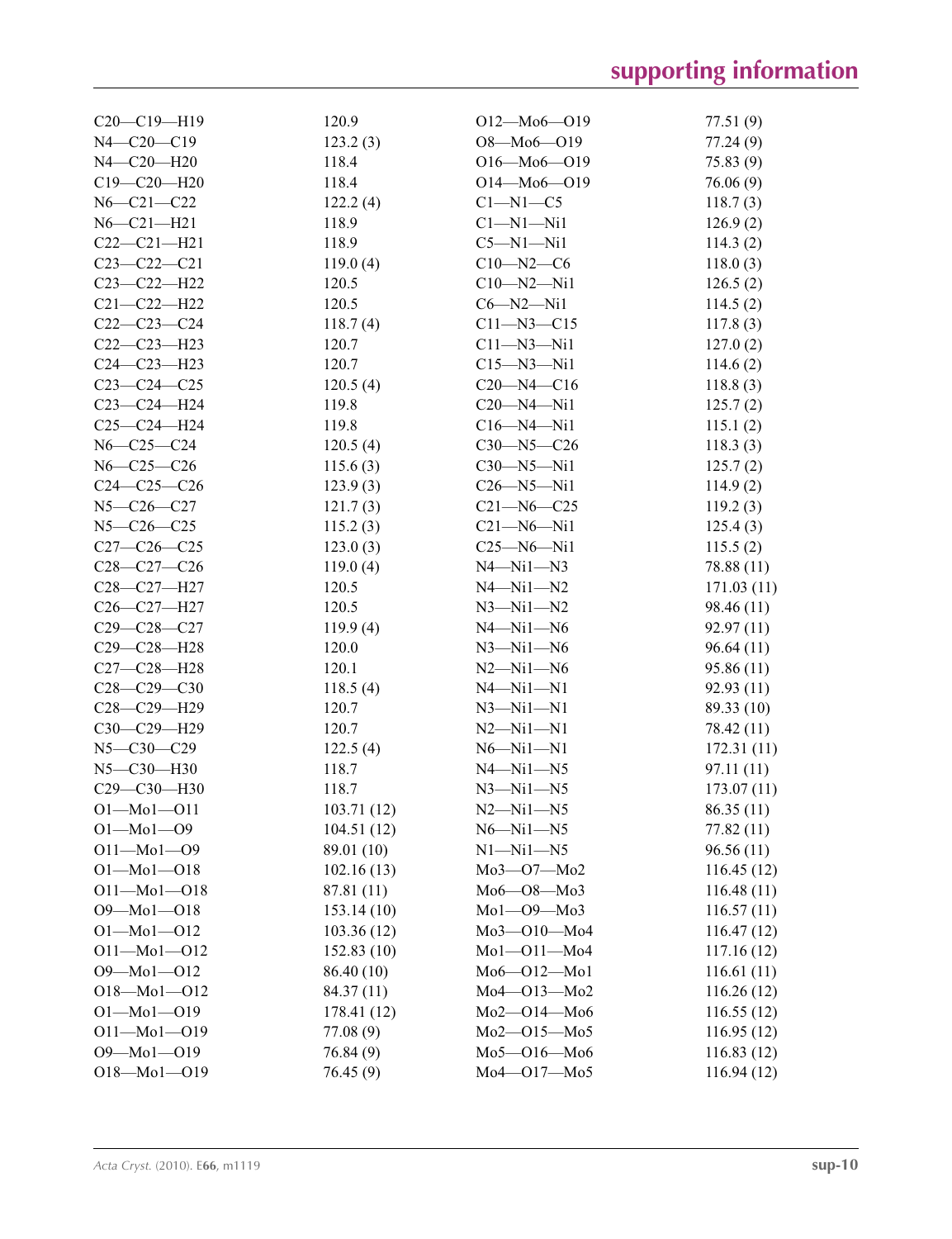| $C20-C19-H19$     | 120.9       | $O12 - Mo6 - O19$ | 77.51 (9)  |
|-------------------|-------------|-------------------|------------|
| $N4 - C20 - C19$  | 123.2(3)    | $O8 - Mo6 - O19$  | 77.24 (9)  |
| N4-C20-H20        | 118.4       | $O16 - Mo6 - O19$ | 75.83 (9)  |
| $C19 - C20 - H20$ | 118.4       | $O14 - Mo6 - O19$ | 76.06(9)   |
| $N6 - C21 - C22$  | 122.2(4)    | $C1-M1-C5$        | 118.7(3)   |
| $N6 - C21 - H21$  | 118.9       | $C1-M1-Ni1$       | 126.9(2)   |
| $C22-C21-H21$     | 118.9       | $C5-M1-Mi1$       | 114.3(2)   |
| $C23 - C22 - C21$ | 119.0(4)    | $C10 - N2 - C6$   | 118.0(3)   |
| $C23-C22-H22$     | 120.5       | $C10 - N2 - N11$  | 126.5(2)   |
| $C21 - C22 - H22$ | 120.5       | $C6 - N2 - N1$    | 114.5(2)   |
| $C22-C23-C24$     | 118.7(4)    | $C11 - N3 - C15$  | 117.8(3)   |
| $C22-C23-H23$     | 120.7       | $C11 - N3 - N11$  | 127.0(2)   |
| C24-C23-H23       | 120.7       | $C15 - N3 - N11$  | 114.6(2)   |
| $C23-C24-C25$     | 120.5(4)    | $C20 - N4 - C16$  | 118.8(3)   |
| $C23-C24-H24$     | 119.8       | $C20 - N4 - N11$  | 125.7(2)   |
| $C25-C24-H24$     | 119.8       | $C16 - N4 - N11$  | 115.1(2)   |
| $N6 - C25 - C24$  | 120.5(4)    | $C30 - N5 - C26$  | 118.3(3)   |
| $N6 - C25 - C26$  | 115.6(3)    | $C30 - N5 - N11$  | 125.7(2)   |
| $C24 - C25 - C26$ | 123.9(3)    | $C26 - N5 - N11$  | 114.9(2)   |
| $N5 - C26 - C27$  | 121.7(3)    | $C21 - N6 - C25$  | 119.2(3)   |
| $N5 - C26 - C25$  | 115.2(3)    | $C21 - N6 - N1$   | 125.4(3)   |
| $C27-C26-C25$     | 123.0(3)    | $C25 - N6 - N11$  | 115.5(2)   |
| $C28-C27-C26$     | 119.0(4)    | $N4 - N11 - N3$   | 78.88 (11) |
| C28-C27-H27       | 120.5       | $N4 - N11 - N2$   | 171.03(11) |
| C26-C27-H27       | 120.5       | $N3 - N11 - N2$   | 98.46 (11) |
| $C29 - C28 - C27$ | 119.9(4)    | $N4 - N11 - N6$   | 92.97 (11) |
| $C29 - C28 - H28$ | 120.0       | $N3 - N11 - N6$   | 96.64(11)  |
| $C27 - C28 - H28$ | 120.1       | $N2 - N11 - N6$   | 95.86 (11) |
| $C28-C29-C30$     | 118.5(4)    | $N4 - N11 - N1$   | 92.93 (11) |
| C28-C29-H29       | 120.7       | $N3 - N1 - N1$    | 89.33 (10) |
| C30-C29-H29       | 120.7       | $N2 - N11 - N1$   | 78.42 (11) |
| $N5 - C30 - C29$  | 122.5(4)    | $N6 - N1 - N1$    | 172.31(11) |
| N5-C30-H30        | 118.7       | $N4 - N11 - N5$   | 97.11 (11) |
| $C29 - C30 - H30$ | 118.7       | $N3 - N11 - N5$   | 173.07(11) |
| $O1 - Mo1 - O11$  | 103.71(12)  | $N2 - N11 - N5$   | 86.35 (11) |
| $O1 - Mo1 - O9$   | 104.51(12)  | $N6 - N11 - N5$   | 77.82 (11) |
| $O11 - Mo1 - O9$  | 89.01 (10)  | $N1 - N11 - N5$   | 96.56(11)  |
| $O1 - Mo1 - O18$  | 102.16(13)  | Мо3-О7-Мо2        | 116.45(12) |
| $O11 - Mo1 - O18$ | 87.81 (11)  | $Mo6 - O8 - Mo3$  | 116.48(11) |
| $O9 - Mo1 - O18$  | 153.14(10)  | $Mo1-O9-Mo3$      | 116.57(11) |
| $O1 - Mo1 - O12$  | 103.36(12)  | Mo3-010-Mo4       | 116.47(12) |
| $O11 - Mo1 - O12$ | 152.83(10)  | $Mo1-O11-Mo4$     | 117.16(12) |
| $O9 - Mo1 - O12$  | 86.40 (10)  | $Mo6 - O12 - Mo1$ | 116.61(11) |
| $O18 - Mo1 - O12$ | 84.37 (11)  | Mo4-013-Mo2       | 116.26(12) |
| $O1 - Mo1 - O19$  | 178.41 (12) | Mo2-O14-Mo6       | 116.55(12) |
| $O11 - Mo1 - O19$ | 77.08 (9)   | Mo2-015-Mo5       | 116.95(12) |
| O9-Mo1-O19        | 76.84(9)    | $Mo5 - O16 - Mo6$ | 116.83(12) |
| $O18 - Mo1 - O19$ | 76.45(9)    | Mo4-017-Mo5       | 116.94(12) |
|                   |             |                   |            |